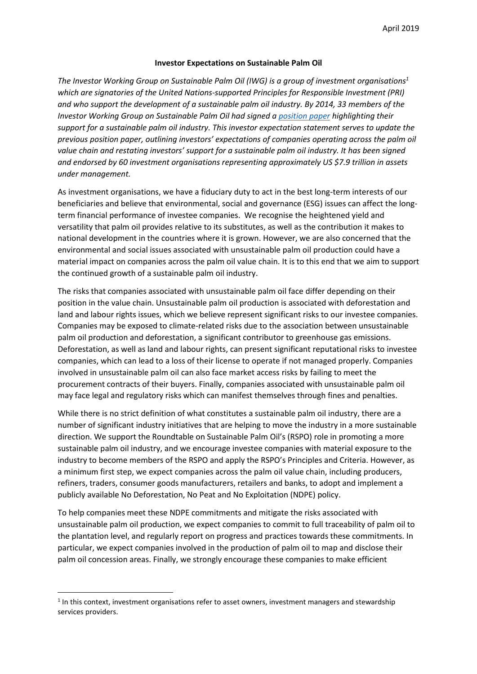## **Investor Expectations on Sustainable Palm Oil**

*The Investor Working Group on Sustainable Palm Oil (IWG) is a group of investment organisations<sup>1</sup> which are signatories of the United Nations-supported Principles for Responsible Investment (PRI) and who support the development of a sustainable palm oil industry. By 2014, 33 members of the Investor Working Group on Sustainable Palm Oil had signed a [position paper](https://collaborate.unpri.org/download-attachment/52329) highlighting their support for a sustainable palm oil industry. This investor expectation statement serves to update the previous position paper, outlining investors' expectations of companies operating across the palm oil value chain and restating investors' support for a sustainable palm oil industry. It has been signed and endorsed by 60 investment organisations representing approximately US \$7.9 trillion in assets under management.*

As investment organisations, we have a fiduciary duty to act in the best long-term interests of our beneficiaries and believe that environmental, social and governance (ESG) issues can affect the longterm financial performance of investee companies. We recognise the heightened yield and versatility that palm oil provides relative to its substitutes, as well as the contribution it makes to national development in the countries where it is grown. However, we are also concerned that the environmental and social issues associated with unsustainable palm oil production could have a material impact on companies across the palm oil value chain. It is to this end that we aim to support the continued growth of a sustainable palm oil industry.

The risks that companies associated with unsustainable palm oil face differ depending on their position in the value chain. Unsustainable palm oil production is associated with deforestation and land and labour rights issues, which we believe represent significant risks to our investee companies. Companies may be exposed to climate-related risks due to the association between unsustainable palm oil production and deforestation, a significant contributor to greenhouse gas emissions. Deforestation, as well as land and labour rights, can present significant reputational risks to investee companies, which can lead to a loss of their license to operate if not managed properly. Companies involved in unsustainable palm oil can also face market access risks by failing to meet the procurement contracts of their buyers. Finally, companies associated with unsustainable palm oil may face legal and regulatory risks which can manifest themselves through fines and penalties.

While there is no strict definition of what constitutes a sustainable palm oil industry, there are a number of significant industry initiatives that are helping to move the industry in a more sustainable direction. We support the Roundtable on Sustainable Palm Oil's (RSPO) role in promoting a more sustainable palm oil industry, and we encourage investee companies with material exposure to the industry to become members of the RSPO and apply the RSPO's Principles and Criteria. However, as a minimum first step, we expect companies across the palm oil value chain, including producers, refiners, traders, consumer goods manufacturers, retailers and banks, to adopt and implement a publicly available No Deforestation, No Peat and No Exploitation (NDPE) policy.

To help companies meet these NDPE commitments and mitigate the risks associated with unsustainable palm oil production, we expect companies to commit to full traceability of palm oil to the plantation level, and regularly report on progress and practices towards these commitments. In particular, we expect companies involved in the production of palm oil to map and disclose their palm oil concession areas. Finally, we strongly encourage these companies to make efficient

 $<sup>1</sup>$  In this context, investment organisations refer to asset owners, investment managers and stewardship</sup> services providers.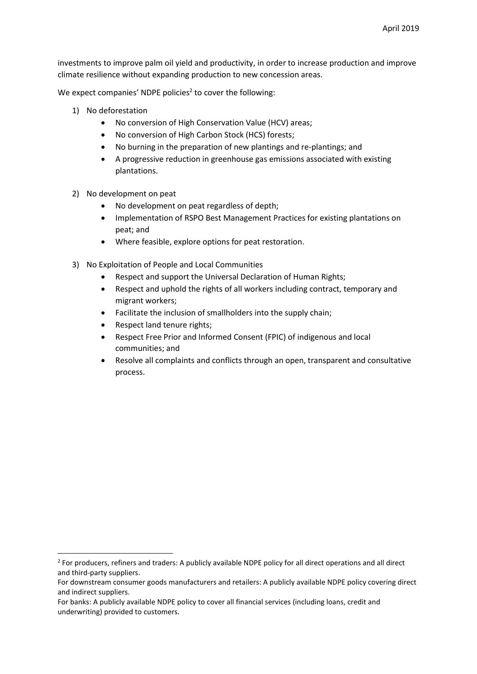investments to improve palm oil yield and productivity, in order to increase production and improve climate resilience without expanding production to new concession areas.

We expect companies' NDPE policies<sup>2</sup> to cover the following:

- 1) No deforestation
	- No conversion of High Conservation Value (HCV) areas;
	- No conversion of High Carbon Stock (HCS) forests;
	- No burning in the preparation of new plantings and re-plantings; and
	- A progressive reduction in greenhouse gas emissions associated with existing plantations.
- 2) No development on peat
	- No development on peat regardless of depth;
	- Implementation of RSPO Best Management Practices for existing plantations on peat; and
	- Where feasible, explore options for peat restoration.
- 3) No Exploitation of People and Local Communities
	- Respect and support the Universal Declaration of Human Rights;
	- Respect and uphold the rights of all workers including contract, temporary and migrant workers;
	- Facilitate the inclusion of smallholders into the supply chain;
	- Respect land tenure rights;
	- Respect Free Prior and Informed Consent (FPIC) of indigenous and local communities; and
	- Resolve all complaints and conflicts through an open, transparent and consultative process.

<sup>&</sup>lt;sup>2</sup> For producers, refiners and traders: A publicly available NDPE policy for all direct operations and all direct and third-party suppliers.

For downstream consumer goods manufacturers and retailers: A publicly available NDPE policy covering direct and indirect suppliers.

For banks: A publicly available NDPE policy to cover all financial services (including loans, credit and underwriting) provided to customers.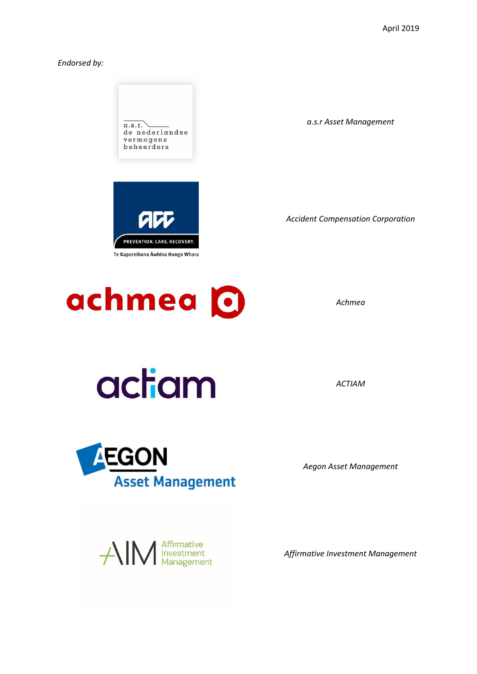*Endorsed by:*





*Achmea*

actiam

**AEGON** 

*Aegon Asset Management*

*ACTIAM*

*Affirmative Investment Management*



**Asset Management**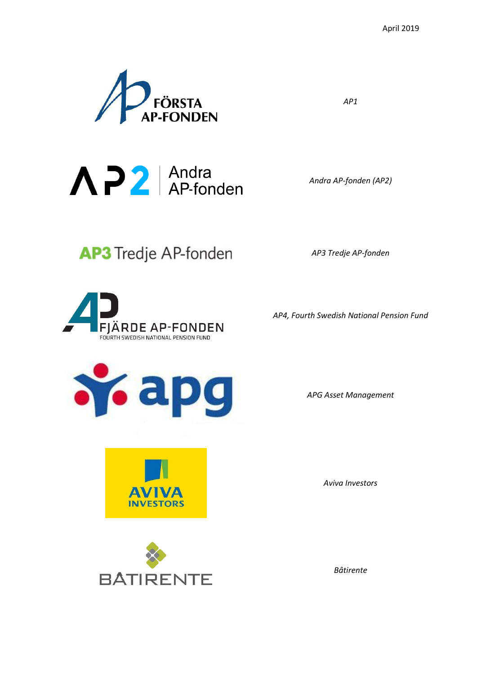

 $\bigwedge$   $\bigwedge$   $\bigwedge$   $\bigwedge$  Andra AP-fonden

AP3 Tredje AP-fonden

**FJÄRDE AP-FONDEN** FOURTH SWEDISH NATIONAL PENSION FUND

*AP1*

*Andra AP-fonden (AP2)*

*AP3 Tredje AP-fonden*

*AP4, Fourth Swedish National Pension Fund*

**To apg** 

*APG Asset Management*

*Aviva Investors*



**AVIVA INVESTORS** 

*Bâtirente*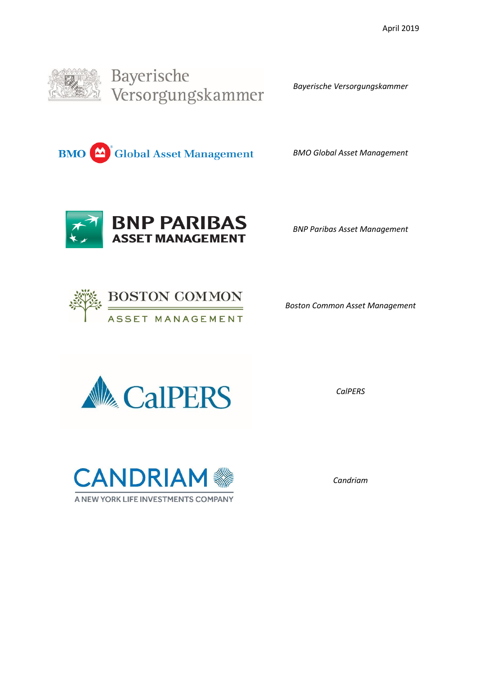

*Bayerische Versorgungskammer*

**BMO** Clobal Asset Management

*BMO Global Asset Management*



*BNP Paribas Asset Management*



*Boston Common Asset Management*



*CalPERS*



*Candriam*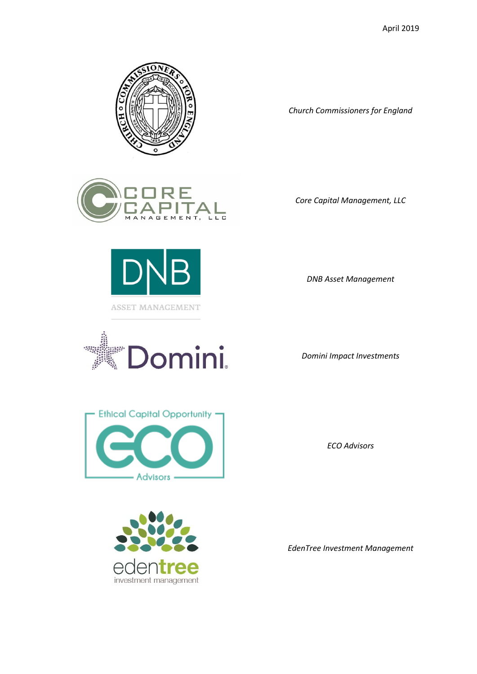

*Church Commissioners for England*





Jomini. ggar.

*Core Capital Management, LLC*

*DNB Asset Management*

*Domini Impact Investments*



*ECO Advisors*



*EdenTree Investment Management*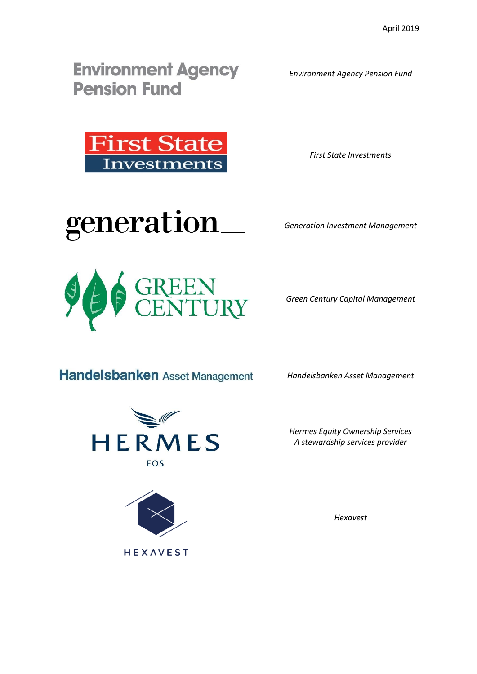**Environment Agency Pension Fund** 

*Environment Agency Pension Fund*



*First State Investments*

generation\_

*Generation Investment Management*



*Green Century Capital Management*

**Handelsbanken** Asset Management

HERMES

EOS

*Handelsbanken Asset Management*





*Hexavest*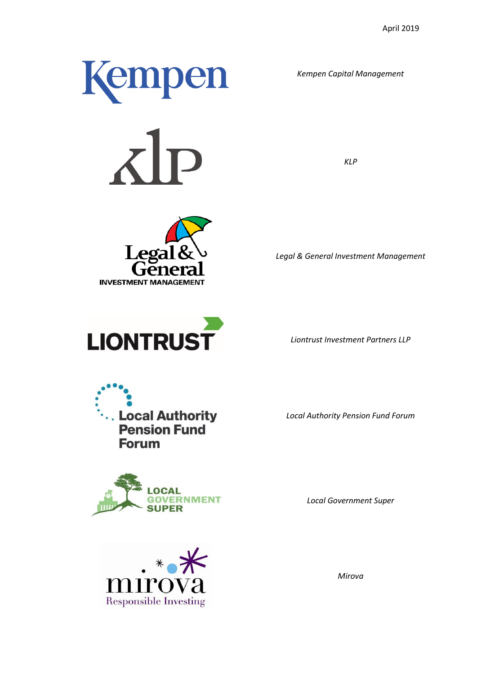











*Kempen Capital Management*

*KLP*

*Legal & General Investment Management*

*Liontrust Investment Partners LLP*

*Local Authority Pension Fund Forum*

*Local Government Super*



*Mirova*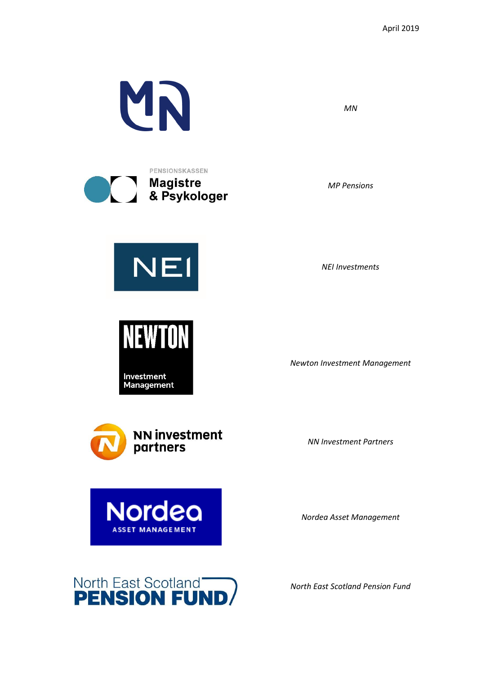

*MN*

*MP Pensions*

*NEI Investments*

*Newton Investment Management*

*NN Investment Partners*

*Nordea Asset Management*



*North East Scotland Pension Fund*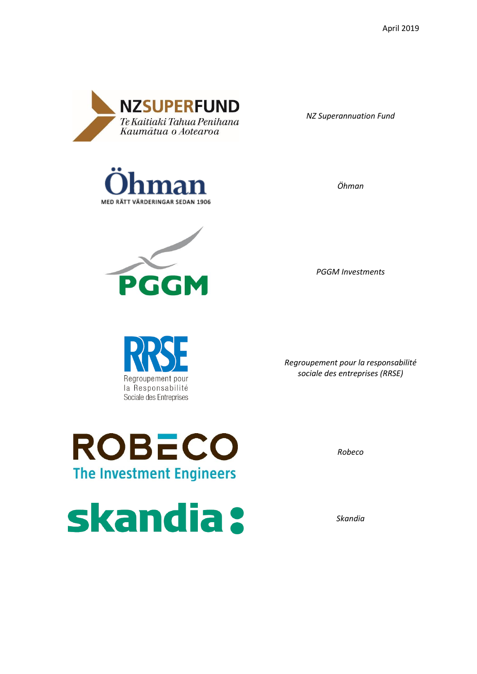

*NZ Superannuation Fund*

*Öhman*





*PGGM Investments*

Regroupement pour la Responsabilité Sociale des Entreprises

*Regroupement pour la responsabilité sociale des entreprises (RRSE)*

*Robeco*

*Skandia*



skandia: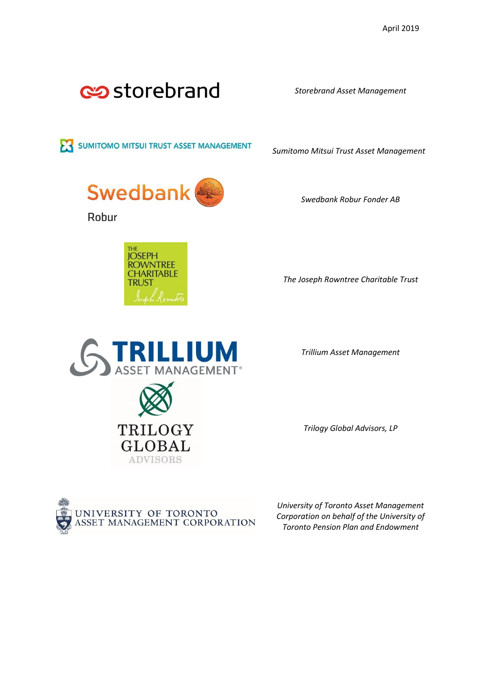

*Storebrand Asset Management*

SUMITOMO MITSUI TRUST ASSET MANAGEMENT

*Sumitomo Mitsui Trust Asset Management*

*Swedbank Robur Fonder AB*



Robur



*The Joseph Rowntree Charitable Trust*



*Trillium Asset Management*

*Trilogy Global Advisors, LP*



*University of Toronto Asset Management Corporation on behalf of the University of Toronto Pension Plan and Endowment*